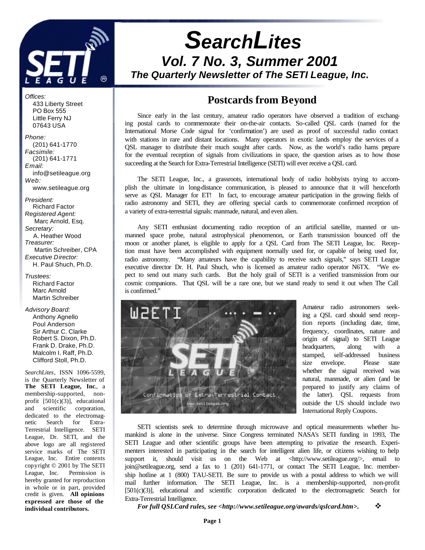

# *SearchLites Vol. 7 No. 3, Summer 2001 The Quarterly Newsletter of The SETI League, Inc.*

## **Postcards from Beyond**

Since early in the last century, amateur radio operators have observed a tradition of exchanging postal cards to commemorate their on-the-air contacts. So-called QSL cards (named for the International Morse Code signal for 'confirmation') are used as proof of successful radio contact with stations in rare and distant locations. Many operators in exotic lands employ the services of a QSL manager to distribute their much sought after cards. Now, as the world's radio hams prepare for the eventual reception of signals from civilizations in space, the question arises as to how those succeeding at the Search for Extra-Terrestrial Intelligence (SETI) will ever receive a QSL card.

The SETI League, Inc., a grassroots, international body of radio hobbyists trying to accomplish the ultimate in long-distance communication, is pleased to announce that it will henceforth serve as QSL Manager for ET! In fact, to encourage amateur participation in the growing fields of radio astronomy and SETI, they are offering special cards to commemorate confirmed reception of a variety of extra-terrestrial signals: manmade, natural, and even alien.

Any SETI enthusiast documenting radio reception of an artificial satellite, manned or unmanned space probe, natural astrophysical phenomenon, or Earth transmission bounced off the moon or another planet, is eligible to apply for a QSL Card from The SETI League, Inc. Reception must have been accomplished with equipment normally used for, or capable of being used for, radio astronomy. "Many amateurs have the capability to receive such signals," says SETI League executive director Dr. H. Paul Shuch, who is licensed as amateur radio operator N6TX. "We expect to send out many such cards. But the holy grail of SETI is a verified transmission from our cosmic companions. That QSL will be a rare one, but we stand ready to send it out when The Call is confirmed."



Amateur radio astronomers seeking a QSL card should send reception reports (including date, time, frequency, coordinates, nature and origin of signal) to SETI League headquarters, along with a stamped, self-addressed business size envelope. Please state whether the signal received was natural, manmade, or alien (and be prepared to justify any claims of the latter). QSL requests from outside the US should include two International Reply Coupons.

SETI scientists seek to determine through microwave and optical measurements whether humankind is alone in the universe. Since Congress terminated NASA's SETI funding in 1993, The SETI League and other scientific groups have been attempting to privatize the research. Experimenters interested in participating in the search for intelligent alien life, or citizens wishing to help support it, should visit us on the Web at  $\langle \text{http://www.setileague.org/>}, \text{ email} \rangle$  to join@setileague.org, send a fax to 1 (201) 641-1771, or contact The SETI League, Inc. membership hotline at 1 (800) TAU-SETI. Be sure to provide us with a postal address to which we will mail further information. The SETI League, Inc. is a membership-supported, non-profit [501(c)(3)], educational and scientific corporation dedicated to the electromagnetic Search for Extra-Terrestrial Intelligence.

*For full QSLCard rules, see <http://www.setileague.org/awards/qslcard.htm>.* v

 433 Liberty Street PO Box 555 Little Ferry NJ 07643 USA

*Offices:*

*Phone:* (201) 641-1770 *Facsimile:* (201) 641-1771 *Email:* info@setileague.org *Web:* www.setileague.org

*President:* Richard Factor *Registered Agent:*  Marc Arnold, Esq. *Secretary:* A. Heather Wood *Treasurer:*  Martin Schreiber, CPA *Executive Director:* H. Paul Shuch, Ph.D.

*Trustees:* Richard Factor Marc Arnold Martin Schreiber

*Advisory Board:* Anthony Agnello Poul Anderson Sir Arthur C. Clarke Robert S. Dixon, Ph.D. Frank D. Drake, Ph.D. Malcolm I. Raff, Ph.D. Clifford Stoll, Ph.D.

*SearchLites*, ISSN 1096-5599, is the Quarterly Newsletter of **The SETI League, Inc**., a membership-supported, nonprofit [501(c)(3)], educational and scientific corporation, dedicated to the electromagnetic Search for Extra-Terrestrial Intelligence. SETI League, Dr. SETI, and the above logo are all registered service marks of The SETI League, Inc. Entire contents copyright © 2001 by The SETI League, Inc. Permission is hereby granted for reproduction in whole or in part, provided credit is given. **All opinions expressed are those of the individual contributors.**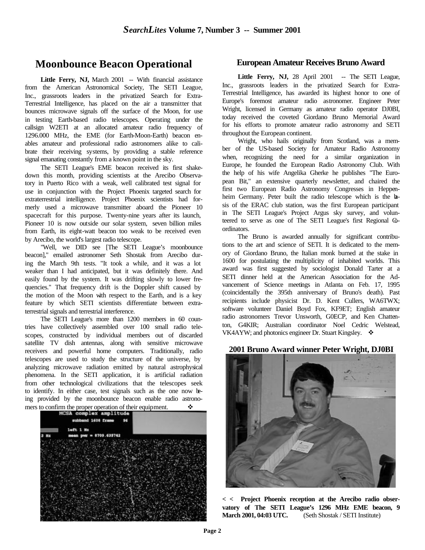## **Moonbounce Beacon Operational**

Little Ferry, NJ, March 2001 -- With financial assistance from the American Astronomical Society, The SETI League, Inc., grassroots leaders in the privatized Search for Extra-Terrestrial Intelligence, has placed on the air a transmitter that bounces microwave signals off the surface of the Moon, for use in testing Earth-based radio telescopes. Operating under the callsign W2ETI at an allocated amateur radio frequency of 1296.000 MHz, the EME (for Earth-Moon-Earth) beacon enables amateur and professional radio astronomers alike to calibrate their receiving systems, by providing a stable reference signal emanating constantly from a known point in the sky.

The SETI League's EME beacon received its first shakedown this month, providing scientists at the Arecibo Observatory in Puerto Rico with a weak, well calibrated test signal for use in conjunction with the Project Phoenix targeted search for extraterrestrial intelligence. Project Phoenix scientists had formerly used a microwave transmitter aboard the Pioneer 10 spacecraft for this purpose. Twenty-nine years after its launch, Pioneer 10 is now outside our solar system, seven billion miles from Earth, its eight-watt beacon too weak to be received even by Arecibo, the world's largest radio telescope.

"Well, we DID see [The SETI League's moonbounce beacon]," emailed astronomer Seth Shostak from Arecibo during the March 9th tests. "It took a while, and it was a lot weaker than I had anticipated, but it was definitely there. And easily found by the system. It was drifting slowly to lower frequencies." That frequency drift is the Doppler shift caused by the motion of the Moon with respect to the Earth, and is a key feature by which SETI scientists differentiate between extraterrestrial signals and terrestrial interference.

The SETI League's more than 1200 members in 60 countries have collectively assembled over 100 small radio telescopes, constructed by individual members out of discarded satellite TV dish antennas, along with sensitive microwave receivers and powerful home computers. Traditionally, radio telescopes are used to study the structure of the universe, by analyzing microwave radiation emitted by natural astrophysical phenomena. In the SETI application, it is artificial radiation from other technological civilizations that the telescopes seek to identify. In either case, test signals such as the one now being provided by the moonbounce beacon enable radio astrono-



### **European Amateur Receives Bruno Award**

Little Ferry, NJ, 28 April 2001 -- The SETI League, Inc., grassroots leaders in the privatized Search for Extra-Terrestrial Intelligence, has awarded its highest honor to one of Europe's foremost amateur radio astronomer. Engineer Peter Wright, licensed in Germany as amateur radio operator DJ0BI, today received the coveted Giordano Bruno Memorial Award for his efforts to promote amateur radio astronomy and SETI throughout the European continent.

Wright, who hails originally from Scotland, was a member of the US-based Society for Amateur Radio Astronomy when, recognizing the need for a similar organization in Europe, he founded the European Radio Astronomy Club. With the help of his wife Angelika Gherke he publishes "The European Bit," an extensive quarterly newsletter, and chaired the first two European Radio Astronomy Congresses in Heppenheim Germany. Peter built the radio telescope which is the basis of the ERAC club station, was the first European participant in The SETI League's Project Argus sky survey, and volunteered to serve as one of The SETI League's first Regional Gordinators.

The Bruno is awarded annually for significant contributions to the art and science of SETI. It is dedicated to the memory of Giordano Bruno, the Italian monk burned at the stake in 1600 for postulating the multiplicity of inhabited worlds. This award was first suggested by sociologist Donald Tarter at a SETI dinner held at the American Association for the Advancement of Science meetings in Atlanta on Feb. 17, 1995 (coincidentally the 395th anniversary of Bruno's death). Past recipients include physicist Dr. D. Kent Cullers, WA6TWX; software volunteer Daniel Boyd Fox, KF9ET; English amateur radio astronomers Trevor Unsworth, G0ECP, and Ken Chattenton, G4KIR; Australian coordinator Noel Cedric Welstead, VK4AYW; and photonics engineer Dr. Stuart Kingsley.  $\cdot$ 

### **2001 Bruno Award winner Peter Wright, DJ0BI**



**< < Project Phoenix reception at the Arecibo radio observatory of The SETI League's 1296 MHz EME beacon, 9 March 2001, 04:03 UTC.** (Seth Shostak / SETI Institute)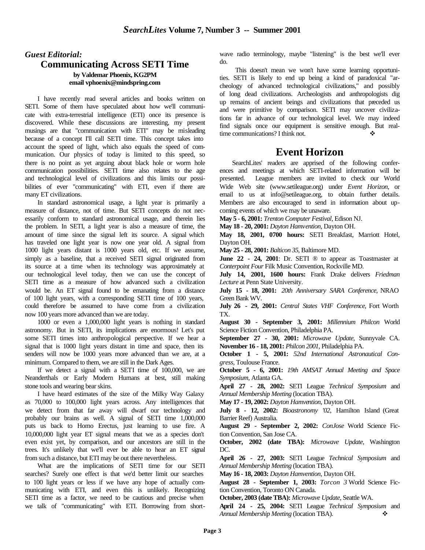### *Guest Editorial:* **Communicating Across SETI Time by Valdemar Phoenix, KG2PM email vphoenix@mindspring.com**

I have recently read several articles and books written on SETI. Some of them have speculated about how we'll communicate with extra-terrestrial intelligence (ETI) once its presence is discovered. While these discussions are interesting, my present musings are that "communication with ETI" may be misleading because of a concept I'll call SETI time. This concept takes into account the speed of light, which also equals the speed of communication. Our physics of today is limited to this speed, so there is no point as yet arguing about black hole or worm hole communication possibilities. SETI time also relates to the age and technological level of civilizations and this limits our possibilities of ever "communicating" with ETI, even if there are many ET civilizations.

In standard astronomical usage, a light year is primarily a measure of distance, not of time. But SETI concepts do not necessarily conform to standard astronomical usage, and therein lies the problem. In SETI, a light year is also a measure of time, the amount of time since the signal left its source. A signal which has traveled one light year is now one year old. A signal from 1000 light years distant is 1000 years old, etc. If we assume, simply as a baseline, that a received SETI signal originated from its source at a time when its technology was approximately at our technological level today, then we can use the concept of SETI time as a measure of how advanced such a civilization would be. An ET signal found to be emanating from a distance of 100 light years, with a corresponding SETI time of 100 years, could therefore be assumed to have come from a civilization now 100 years more advanced than we are today.

1000 or even a 1,000,000 light years is nothing in standard astronomy. But in SETI, its implications are enormous! Let's put some SETI times into anthropological perspective. If we hear a signal that is 1000 light years distant in time and space, then its senders will now be 1000 years more advanced than we are, at a minimum. Compared to them, we are still in the Dark Ages.

If we detect a signal with a SETI time of 100,000, we are Neanderthals or Early Modern Humans at best, still making stone tools and wearing bear skins.

I have heard estimates of the size of the Milky Way Galaxy as 70,000 to 100,000 light years across. Any intelligences that we detect from that far away will dwarf our technology and probably our brains as well. A signal of SETI time 1,000,000 puts us back to Homo Erectus, just learning to use fire. A 10,000,000 light year ET signal means that we as a species don't even exist yet, by comparison, and our ancestors are still in the trees. It's unlikely that we'll ever be able to hear an ET signal from such a distance, but ETI may be out there nevertheless.

What are the implications of SETI time for our SETI searches? Surely one effect is that we'd better limit our searches to 100 light years or less if we have any hope of actually communicating with ETI, and even this is unlikely. Recognizing SETI time as a factor, we need to be cautious and precise when we talk of "communicating" with ETI. Borrowing from shortwave radio terminology, maybe "listening" is the best we'll ever do.

This doesn't mean we won't have some learning opportunities. SETI is likely to end up being a kind of paradoxical "archeology of advanced technological civilizations," and possibly of long dead civilizations. Archeologists and anthropologists dig up remains of ancient beings and civilizations that preceded us and were primitive by comparison. SETI may uncover civilizations far in advance of our technological level. We may indeed find signals once our equipment is sensitive enough. But realtime communications? I think not.

## **Event Horizon**

SearchLites' readers are apprised of the following conferences and meetings at which SETI-related information will be presented. League members are invited to check our World Wide Web site (www.setileague.org) under *Event Horizon*, or email to us at info@setileague.org, to obtain further details. Members are also encouraged to send in information about upcoming events of which we may be unaware.

**May 5 - 6, 2001:** *Trenton Computer Festival*, Edison NJ.

**May 18 - 20, 2001:** *Dayton Hamvention*, Dayton OH.

**May 18, 2001, 0700 hours:** SETI Breakfast, Marriott Hotel, Dayton OH.

**May 25 - 28, 2001:** *Balticon 35*, Baltimore MD.

**June 22 · 24, 2001**: Dr. SETI  $\circledcirc$  to appear as Toastmaster at *Conterpoint Four* Filk Music Convention, Rockville MD.

**July 14, 2001, 1600 hours:** Frank Drake delivers *Friedman Lecture* at Penn State University.

**July 15 - 18, 2001:** *20th Anniversary SARA Conference*, NRAO Green Bank WV.

**July 26 - 29, 2001:** *Central States VHF Conference*, Fort Worth TX.

**August 30 - September 3, 2001:** *Millennium Philcon* World Science Fiction Convention, Philadelphia PA.

**September 27 - 30, 2001:** *Microwave Update*, Sunnyvale CA. **November 16 - 18, 2001:** *Philcon 2001*, Philadelphia PA.

**October 1 - 5, 2001:** *52nd International Astronautical Congress*, Toulouse France.

**October 5 - 6, 2001:** *19th AMSAT Annual Meeting and Space Symposium*, Atlanta GA.

**April 27 - 28, 2002:** SETI League *Technical Symposium* and *Annual Membership Meeting* (location TBA).

**May 17 - 19, 2002:** *Dayton Hamvention*, Dayton OH.

**July 8 - 12, 2002:** *Bioastronomy '02*, Hamilton Island (Great Barrier Reef) Australia.

**August 29 - September 2, 2002:** *ConJose* World Science Fiction Convention, San Jose CA.

**October, 2002 (date TBA):** *Microwave Update*, Washington DC.

**April 26 - 27, 2003:** SETI League *Technical Symposium* and *Annual Membership Meeting* (location TBA).

**May 16 - 18, 2003:** *Dayton Hamvention*, Dayton OH.

**August 28 - September 1, 2003:** *Torcon 3* World Science Fiction Convention, Toronto ON Canada.

**October, 2003 (date TBA):** *Microwave Update*, Seattle WA.

**April 24 - 25, 2004:** SETI League *Technical Symposium* and *Annual Membership Meeting* (location TBA). ◆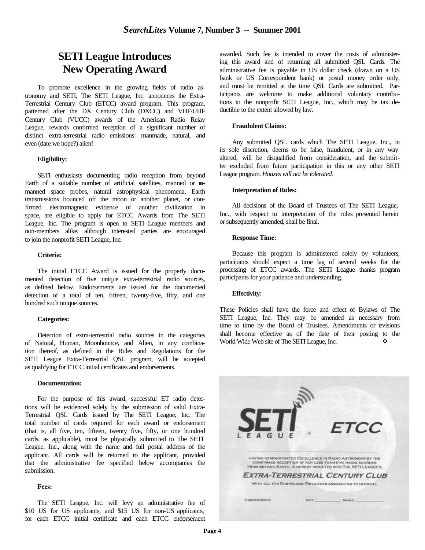## **SETI League Introduces New Operating Award**

To promote excellence in the growing fields of radio astronomy and SETI, The SETI League, Inc. announces the Extra-Terrestrial Century Club (ETCC) award program. This program, patterned after the DX Century Club (DXCC) and VHF/UHF Century Club (VUCC) awards of the American Radio Relay League, rewards confirmed reception of a significant number of distinct extra-terrestrial radio emissions: manmade, natural, and even (dare we hope?) alien!

#### **Eligibility:**

SETI enthusiasts documenting radio reception from beyond Earth of a suitable number of artificial satellites, manned or unmanned space probes, natural astrophysical phenomena, Earth transmissions bounced off the moon or another planet, or confirmed electromagnetic evidence of another civilization in space, are eligible to apply for ETCC Awards from The SETI League, Inc. The program is open to SETI League members and non-members alike, although interested parties are encouraged to join the nonprofit SETI League, Inc.

#### **Criteria:**

The initial ETCC Award is issued for the properly documented detection of five unique extra-terrestrial radio sources, as defined below. Endorsements are issued for the documented detection of a total of ten, fifteen, twenty-five, fifty, and one hundred such unique sources.

#### **Categories:**

Detection of extra-terrestrial radio sources in the categories of Natural, Human, Moonbounce, and Alien, in any combination thereof, as defined in the Rules and Regulations for the SETI League Extra-Terrestrial QSL program, will be accepted as qualifying for ETCC initial certificates and endorsements.

#### **Documentation:**

For the purpose of this award, successful ET radio detections will be evidenced solely by the submission of valid Extra-Terrestrial QSL Cards issued by The SETI League, Inc. The total number of cards required for each award or endorsement (that is, all five, ten, fifteen, twenty five, fifty, or one hundred cards, as applicable), must be physically submitted to The SETI League, Inc., along with the name and full postal address of the applicant. All cards will be returned to the applicant, provided that the administrative fee specified below accompanies the submission.

#### **Fees:**

The SETI League, Inc. will levy an administrative fee of \$10 US for US applicants, and \$15 US for non-US applicants, for each ETCC initial certificate and each ETCC endorsement

awarded. Such fee is intended to cover the costs of administering this award and of returning all submitted QSL Cards. The administrative fee is payable in US dollar check (drawn on a US bank or US Correspondent bank) or postal money order only, and must be remitted at the time QSL Cards are submitted. Participants are welcome to make additional voluntary contributions to the nonprofit SETI League, Inc., which may be tax deductible to the extent allowed by law.

#### **Fraudulent Claims:**

Any submitted QSL cards which The SETI League, Inc., in its sole discretion, deems to be false, fraudulent, or in any way altered, will be disqualified from consideration, and the submitter excluded from future participation in this or any other SETI League program. *Hoaxes will not be tolerated.* 

#### **Interpretation of Rules:**

All decisions of the Board of Trustees of The SETI League, Inc., with respect to interpretation of the rules presented herein or subsequently amended, shall be final.

#### **Response Time:**

Because this program is administered solely by volunteers, participants should expect a time lag of several weeks for the processing of ETCC awards. The SETI League thanks program participants for your patience and understanding.

#### **Effectivity:**

These Policies shall have the force and effect of Bylaws of The SETI League, Inc. They may be amended as necessary from time to time by the Board of Trustees. Amendments or revisions shall become effective as of the date of their posting to the World Wide Web site of The SETI League, Inc.

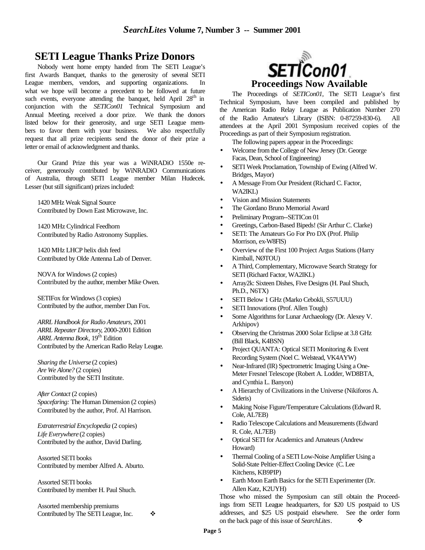## **SETI League Thanks Prize Donors**

Nobody went home empty handed from The SETI League's first Awards Banquet, thanks to the generosity of several SETI League members, vendors, and supporting organizations. what we hope will become a precedent to be followed at future such events, everyone attending the banquet, held April  $28<sup>th</sup>$  in conjunction with the *SETICon01* Technical Symposium and Annual Meeting, received a door prize. We thank the donors listed below for their generosity, and urge SETI League members to favor them with your business. We also respectfully request that all prize recipients send the donor of their prize a letter or email of acknowledgment and thanks.

Our Grand Prize this year was a WiNRADiO 1550e receiver, generously contributed by WiNRADiO Communications of Australia, through SETI League member Milan Hudecek. Lesser (but still significant) prizes included:

1420 MHz Weak Signal Source Contributed by Down East Microwave, Inc.

1420 MHz Cylindrical Feedhorn Contributed by Radio Astronomy Supplies.

1420 MHz LHCP helix dish feed Contributed by Olde Antenna Lab of Denver.

NOVA for Windows (2 copies) Contributed by the author, member Mike Owen.

SETIFox for Windows (3 copies) Contributed by the author, member Dan Fox.

*ARRL Handbook for Radio Amateurs*, 2001 *ARRL Repeater Directory*, 2000-2001 Edition *ARRL Antenna Book*, 19th Edition Contributed by the American Radio Relay League.

*Sharing the Universe* (2 copies) *Are We Alone?* (2 copies) Contributed by the SETI Institute.

*After Contact* (2 copies) *Spacefaring:* The Human Dimension (2 copies) Contributed by the author, Prof. Al Harrison.

*Extraterrestrial Encyclopedia* (2 copies) *Life Everywhere* (2 copies) Contributed by the author, David Darling.

Assorted SETI books Contributed by member Alfred A. Aburto.

Assorted SETI books Contributed by member H. Paul Shuch.

Assorted membership premiums Contributed by The SETI League, Inc.  $\bullet$ 



The Proceedings of *SETICon01*, The SETI League's first Technical Symposium, have been compiled and published by the American Radio Relay League as Publication Number 270 of the Radio Amateur's Library (ISBN: 0-87259-830-6). All attendees at the April 2001 Symposium received copies of the Proceedings as part of their Symposium registration.

The following papers appear in the Proceedings:

- Welcome from the College of New Jersey (Dr. George Facas, Dean, School of Engineering)
- SETI Week Proclamation, Township of Ewing (Alfred W. Bridges, Mayor)
- A Message From Our President (Richard C. Factor, WA2IKL)
- Vision and Mission Statements
- The Giordano Bruno Memorial Award
- Preliminary Program--SETICon 01
- Greetings, Carbon-Based Bipeds! (Sir Arthur C. Clarke)
- SETI: The Amateurs Go For Pro DX (Prof. Philip Morrison, ex-W8FIS)
- Overview of the First 100 Project Argus Stations (Harry Kimball, NØTOU)
- A Third, Complementary, Microwave Search Strategy for SETI (Richard Factor, WA2IKL)
- Array2k: Sixteen Dishes, Five Designs (H. Paul Shuch, Ph.D., N6TX)
- SETI Below 1 GHz (Marko Cebokli, S57UUU)
- SETI Innovations (Prof. Allen Tough)
- Some Algorithms for Lunar Archaeology (Dr. Alexey V. Arkhipov)
- Observing the Christmas 2000 Solar Eclipse at 3.8 GHz (Bill Black, K4BSN)
- Project QUANTA: Optical SETI Monitoring & Event Recording System (Noel C. Welstead, VK4AYW)
- Near-Infrared (IR) Spectrometric Imaging Using a One-Meter Fresnel Telescope (Robert A. Lodder, WD8BTA, and Cynthia L. Banyon)
- A Hierarchy of Civilizations in the Universe (Nikiforos A. Sideris)
- Making Noise Figure/Temperature Calculations (Edward R. Cole, AL7EB)
- Radio Telescope Calculations and Measurements (Edward R. Cole, AL7EB)
- Optical SETI for Academics and Amateurs (Andrew Howard)
- Thermal Cooling of a SETI Low-Noise Amplifier Using a Solid-State Peltier-Effect Cooling Device (C. Lee Kitchens, KB9PIP)
- Earth Moon Earth Basics for the SETI Experimenter (Dr. Allen Katz, K2UYH)

Those who missed the Symposium can still obtain the Proceedings from SETI League headquarters, for \$20 US postpaid to US addresses, and \$25 US postpaid elsewhere. See the order form on the back page of this issue of *SearchLites*. ❖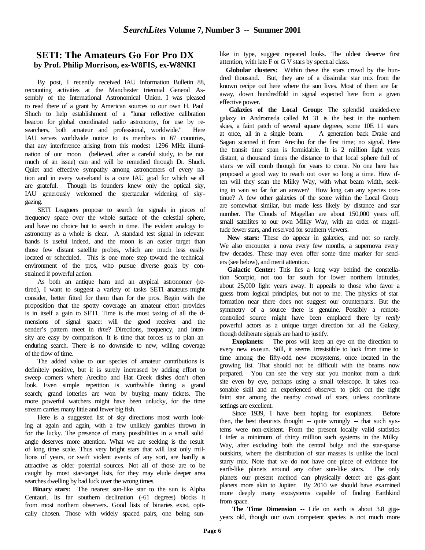### **SETI: The Amateurs Go For Pro DX by Prof. Philip Morrison, ex-W8FIS, ex-W8NKI**

By post, I recently received IAU Information Bulletin 88, recounting activities at the Manchester triennial General Assembly of the International Astronomical Union. I was pleased to read there of a grant by American sources to our own H. Paul Shuch to help establishment of a "lunar reflective calibration beacon for global coordinated radio astronomy, for use by researchers, both amateur and professional, worldwide." Here IAU serves worldwide notice to its members in 67 countries, that any interference arising from this modest 1296 MHz illumination of our moon (believed, after a careful study, to be not much of an issue) can and will be remedied through Dr. Shuch. Quiet and effective sympathy among astronomers of every nation and in every waveband is a core IAU goal for which we all are grateful. Though its founders knew only the optical sky, IAU generously welcomed the spectacular widening of skygazing.

SETI Leaguers propose to search for signals in pieces of frequency space over the whole surface of the celestial sphere, and have no choice but to search in time. The evident analogy to astronomy as a whole is clear. A standard test signal in relevant bands is useful indeed, and the moon is an easier target than those few distant satellite probes, which are much less easily located or scheduled. This is one more step toward the technical environment of the pros, who pursue diverse goals by constrained if powerful action.

As both an antique ham and an atypical astronomer (retired), I want to suggest a variety of tasks SETI amateurs might consider, better fitted for them than for the pros. Begin with the proposition that the spotty coverage an amateur effort provides is in itself a gain to SETI. Time is the most taxing of all the dmensions of signal space: will the good receiver and the sender's pattern meet in *time*? Directions, frequency, and intensity are easy by comparison. It is time that forces us to plan an enduring search. There is no downside to new, willing coverage of the flow of time.

The added value to our species of amateur contributions is definitely positive, but it is surely increased by adding effort to sweep corners where Arecibo and Hat Creek dishes don't often look. Even simple repetition is worthwhile during a grand search; grand lotteries are won by buying many tickets. The more powerful watchers might have been unlucky, for the time stream carries many little and fewer big fish.

Here is a suggested list of sky directions most worth looking at again and again, with a few unlikely gambles thrown in for the lucky. The presence of many possibilities in a small solid angle deserves more attention. What we are seeking is the result of long time scale. Thus very bright stars that will last only millions of years, or swift violent events of any sort, are hardly  $\boldsymbol{s}$ attractive as older potential sources. Not all of those are to be caught by most star-target lists, for they may elude deeper area searches dwelling by bad luck over the wrong times.

 **Binary stars:** The nearest sun-like star to the sun is Alpha Centauri. Its far southern declination (-61 degrees) blocks it from most northern observers. Good lists of binaries exist, optically chosen. Those with widely spaced pairs, one being sunlike in type, suggest repeated looks. The oldest deserve first attention, with late F or G V stars by spectral class.

 **Globular clusters:** Within these the stars crowd by the hundred thousand. But, they are of a dissimilar star mix from the known recipe out here where the sun lives. Most of them are far away, down hundredfold in signal expected here from a given effective power.

 **Galaxies of the Local Group:** The splendid unaided-eye galaxy in Andromeda called M 31 is the best in the northern skies, a faint patch of several square degrees, some 10E 11 stars at once, all in a single beam. A generation back Drake and Sagan scanned it from Arecibo for the first time; no signal. Here the transit time span is formidable. It is 2 million light years distant, a thousand times the distance to that local sphere full of stars we will comb through for years to come. No one here has proposed a good way to reach out over so long a time. How often will they scan the Milky Way, with what beam width, seeking in vain so far for an answer? How long can any species continue? A few other galaxies of the score within the Local Group are somewhat similar, but made less likely by distance and star number. The Clouds of Magellan are about 150,000 years off, small satellites to our own Milky Way, with an order of magnitude fewer stars, and reserved for southern viewers.

 **New stars:** These do appear in galaxies, and not so rarely. We also encounter a nova every few months, a supernova every few decades. These may even offer some time marker for senders (see below), and merit attention.

 **Galactic Center:** This lies a long way behind the constellation Scorpio, not too far south for lower northern latitudes, about 25,000 light years away. It appeals to those who favor a guess from logical principles, but not to me. The physics of star formation near there does not suggest our counterparts. But the symmetry of a source there is genuine. Possibly a remotecontrolled source might have been emplaced there by *really*  powerful actors as a unique target direction for all the Galaxy, though deliberate signals are hard to justify.

**Exoplanets:** The pros will keep an eye on the direction to every new exosun. Still, it seems irresistible to look from time to time among the fifty-odd new exosystems, once located in the growing list. That should not be difficult with the beams now prepared. You can see the very star you monitor from a dark site even by eye, perhaps using a small telescope. It takes reasonable skill and an experienced observer to pick out the right faint star among the nearby crowd of stars, unless coordinate settings are excellent.

Since 1939, I have been hoping for exoplanets. Before then, the best theorists thought -- quite wrongly -- that such systems were non-existent. From the present locally valid statistics I infer a minimum of thirty million such systems in the Milky Way, after excluding both the central bulge and the star-sparse outskirts, where the distribution of star masses is unlike the local starry mix. Note that we do not have one piece of evidence for earth-like planets around any other sun-like stars. The only planets our present method can physically detect are gas-giant planets more akin to Jupiter. By 2010 we should have examined more deeply many exosystems capable of finding Earthkind from space.

**The Time Dimension --** Life on earth is about 3.8 gigayears old, though our own competent species is not much more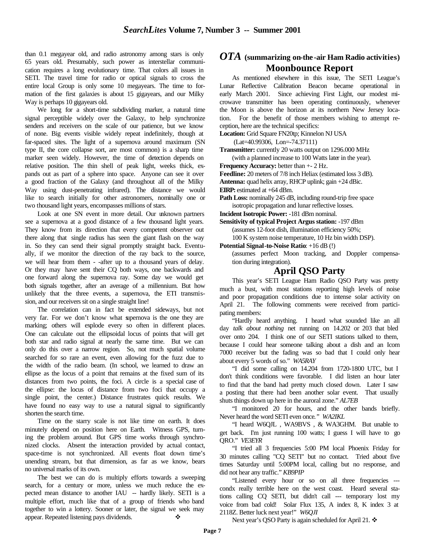than 0.1 megayear old, and radio astronomy among stars is only 65 years old. Presumably, such power as interstellar communication requires a long evolutionary time. That colors all issues in SETI. The travel time for radio or optical signals to cross the entire local Group is only some 10 megayears. The time to formation of the first galaxies is about 15 gigayears, and our Milky Way is perhaps 10 gigayears old.

We long for a short-time subdividing marker, a natural time signal perceptible widely over the Galaxy, to help synchronize senders and receivers on the scale of our patience, but we know of none. Big events visible widely repeat indefinitely, though at far-spaced sites. The light of a supernova around maximum (SN type II, the core collapse sort, are most common) is a sharp time marker seen widely. However, the time of detection depends on relative position. The thin shell of peak light, weeks thick, expands out as part of a sphere into space. Anyone can see it over a good fraction of the Galaxy (and throughout all of the Milky Way using dust-penetrating infrared). The distance we would like to search initially for other astronomers, nominally one or two thousand light years, encompasses millions of stars.

Look at one SN event in more detail. Our unknown partners see a supernova at a good distance of a few thousand light years. They know from its direction that every competent observer out there along that single radius has seen the giant flash on the way in. So they can send their signal promptly straight back. Eventually, if we monitor the direction of the ray back to the source, we will hear from them - -after up to a thousand years of delay. Or they may have sent their CQ both ways, one backwards and one forward along the supernova ray. Some day we would get both signals together, after an average of a millennium. But how unlikely that the three events, a supernova, the ETI transmission, and our receivers sit on a single straight line!

The correlation can in fact be extended sideways, but not very far. For we don't know what supernova is the one they are marking; others will explode every so often in different places. One can calculate out the ellipsoidal locus of points that will get both star and radio signal at nearly the same time. But we can only do this over a narrow region. So, not much spatial volume searched for so rare an event, even allowing for the fuzz due to the width of the radio beam. (In school, we learned to draw an ellipse as the locus of a point that remains at the fixed sum of its distances from two points, the foci. A circle is a special case of the ellipse: the locus of distance from two foci that occupy a single point, the center.) Distance frustrates quick results. We have found no easy way to use a natural signal to significantly shorten the search time.

Time on the starry scale is not like time on earth. It does minutely depend on position here on Earth. Witness GPS, turning the problem around. But GPS time works through synchronized clocks. Absent the interaction provided by actual contact, space-time is not synchronized. All events float down time's unending stream, but that dimension, as far as we know, bears no universal marks of its own.

The best we can do is multiply efforts towards a sweeping search, for a century or more, unless we much reduce the expected mean distance to another IAU -- hardly likely. SETI is a multiple effort, much like that of a group of friends who band together to win a lottery. Sooner or later, the signal we seek may appear. Repeated listening pays dividends.

### *OTA* **(summarizing on-the -air Ham Radio activities) Moonbounce Report**

As mentioned elsewhere in this issue, The SETI League's Lunar Reflective Calibration Beacon became operational in early March 2001. Since achieving First Light, our modest microwave transmitter has been operating continuously, whenever the Moon is above the horizon at its northern New Jersey location. For the benefit of those members wishing to attempt reception, here are the technical specifics:

**Location:** Grid Square FN20tp; Kinnelon NJ USA

(Lat=40.99306, Lon=-74.37111)

**Transmitter:** currently 20 watts output on 1296.000 MHz (with a planned increase to 100 Watts later in the year).

**Frequency Accuracy:** better than +- 2 Hz.

**Feedline:** 20 meters of 7/8 inch Heliax (estimated loss 3 dB).

**Antenna:** quad helix array, RHCP uplink; gain +24 dBic.

**EIRP:** estimated at +64 dBm.

Path Loss: nominally 245 dB, including round-trip free space isotropic propagation and lunar reflective losses.

**Incident Isotropic Power:** -181 dBm nominal.

**Sensitivity of typical Project Argus station:** -197 dBm (assumes 12-foot dish, illumination efficiency 50%;

100 K system noise temperature, 10 Hz bin width DSP).

**Potential Signal-to-Noise Ratio**: +16 dB (!)

(assumes perfect Moon tracking, and Doppler compensation during integration).

### **April QSO Party**

This year's SETI League Ham Radio QSO Party was pretty much a bust, with most stations reporting high levels of noise and poor propagation conditions due to intense solar activity on April 21. The following comments were received from participating members:

"Hardly heard anything. I heard what sounded like an all day *talk about nothing* net running on 14.202 or 203 that bled over onto 204. I think one of our SETI stations talked to them, because I could hear someone talking about a dish and an Icom 7000 receiver but the fading was so bad that I could only hear about every 5 words of so." *WA5RAY*

"I did some calling on 14.204 from 1720-1800 UTC, but I don't think conditions were favorable. I did listen an hour later to find that the band had pretty much closed down. Later I saw a posting that there had been another solar event. That usually shuts things down up here in the auroral zone." *AL7EB*

"I monitored 20 for hours, and the other bands briefly. Never heard the word SETI even once*." WA2IKL*

"I heard W6QJL , WA9BVS , & WA3GHM. But unable to get back. I'm just running 100 watts; I guess I will have to go QRO." *VE3EYR*

"I tried all 3 frequencies 5:00 PM local Phoenix Friday for 30 minutes calling "CQ SETI" but no contact. Tried about five times Saturday until 5:00PM local, calling but no response, and did not hear any traffic." *KB9PIP*

"Listened every hour or so on all three frequencies -- condx really terrible here on the west coast. Heard several stations calling CQ SETI, but didn't call --- temporary lost my voice from bad cold! Solar Flux 135, A index 8, K index 3 at 2118Z. Better luck next year!" *W6QJI*

Next year's QSO Party is again scheduled for April 21. ❖